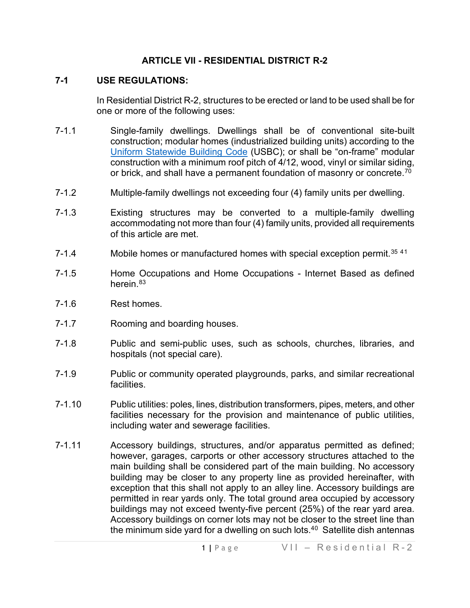### **ARTICLE VII - RESIDENTIAL DISTRICT R-2**

## **7-1 USE REGULATIONS:**

In Residential District R-2, structures to be erected or land to be used shall be for one or more of the following uses:

- 7-1.1 Single-family dwellings. Dwellings shall be of conventional site-built construction; modular homes (industrialized building units) according to the [Uniform Statewide Building Code](https://law.lis.virginia.gov/vacode/title36/chapter6/) (USBC); or shall be "on-frame" modular construction with a minimum roof pitch of 4/12, wood, vinyl or similar siding, or brick, and shall have a permanent foundation of masonry or concrete. $^{70}$
- 7-1.2 Multiple-family dwellings not exceeding four (4) family units per dwelling.
- 7-1.3 Existing structures may be converted to a multiple-family dwelling accommodating not more than four (4) family units, provided all requirements of this article are met.
- 7-1.4 Mobile homes or manufactured homes with special exception permit.<sup>[35](#page-6-1) 4[1](#page-6-2)</sup>
- 7-1.5 Home Occupations and Home Occupations Internet Based as defined herein.<sup>[83](#page-6-3)</sup>
- 7-1.6 Rest homes.
- 7-1.7 Rooming and boarding houses.
- 7-1.8 Public and semi-public uses, such as schools, churches, libraries, and hospitals (not special care).
- 7-1.9 Public or community operated playgrounds, parks, and similar recreational facilities.
- 7-1.10 Public utilities: poles, lines, distribution transformers, pipes, meters, and other facilities necessary for the provision and maintenance of public utilities, including water and sewerage facilities.
- 7-1.11 Accessory buildings, structures, and/or apparatus permitted as defined; however, garages, carports or other accessory structures attached to the main building shall be considered part of the main building. No accessory building may be closer to any property line as provided hereinafter, with exception that this shall not apply to an alley line. Accessory buildings are permitted in rear yards only. The total ground area occupied by accessory buildings may not exceed twenty-five percent (25%) of the rear yard area. Accessory buildings on corner lots may not be closer to the street line than the minimum side yard for a dwelling on such lots. $40$  $40$  Satellite dish antennas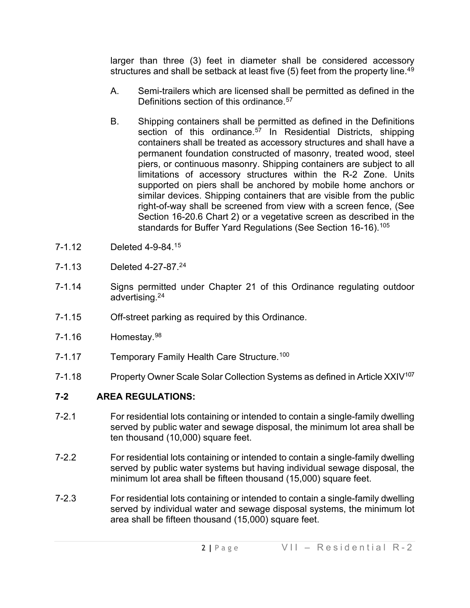larger than three (3) feet in diameter shall be considered accessory structures and shall be setback at least five  $(5)$  feet from the property line.<sup>[49](#page-6-5)</sup>

- A. Semi-trailers which are licensed shall be permitted as defined in the Definitions section of this ordinance.<sup>[57](#page-6-6)</sup>
- B. Shipping containers shall be permitted as defined in the Definitions section of this ordinance.<sup>[57](#page-6-7)</sup> In Residential Districts, shipping containers shall be treated as accessory structures and shall have a permanent foundation constructed of masonry, treated wood, steel piers, or continuous masonry. Shipping containers are subject to all limitations of accessory structures within the R-2 Zone. Units supported on piers shall be anchored by mobile home anchors or similar devices. Shipping containers that are visible from the public right-of-way shall be screened from view with a screen fence, (See Section 16-20.6 Chart 2) or a vegetative screen as described in the standards for Buffer Yard Regulations (See Section 16-16).<sup>[105](#page-6-8)</sup>
- 7-1.12 Deleted 4-9-84.1[5](#page-6-9)
- 7-1.13 Deleted 4-27-87.2[4](#page-6-10)
- 7-1.14 Signs permitted under Chapter 21 of this Ordinance regulating outdoor advertising.2[4](#page-6-11)
- 7-1.15 Off-street parking as required by this Ordinance.
- 7-1.16 Homestay.<sup>[98](#page-6-12)</sup>
- 7-1.17 Temporary Family Health Care Structure.<sup>[100](#page-6-13)</sup>
- 7-1.18 Property Owner Scale Solar Collection Systems as defined in Article XXIV<sup>[107](#page-6-14)</sup>

#### **7-2 AREA REGULATIONS:**

- 7-2.1 For residential lots containing or intended to contain a single-family dwelling served by public water and sewage disposal, the minimum lot area shall be ten thousand (10,000) square feet.
- 7-2.2 For residential lots containing or intended to contain a single-family dwelling served by public water systems but having individual sewage disposal, the minimum lot area shall be fifteen thousand (15,000) square feet.
- 7-2.3 For residential lots containing or intended to contain a single-family dwelling served by individual water and sewage disposal systems, the minimum lot area shall be fifteen thousand (15,000) square feet.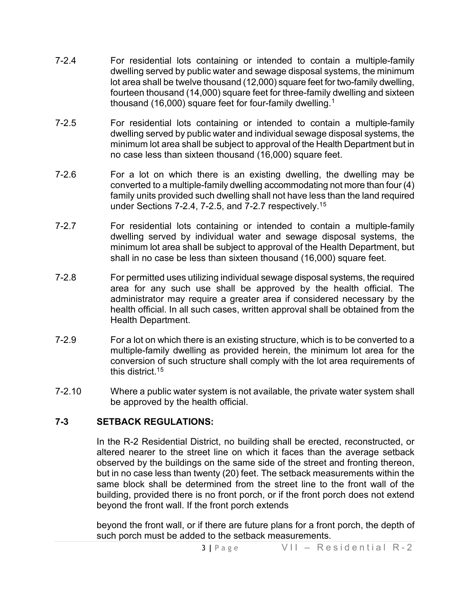- 7-2.4 For residential lots containing or intended to contain a multiple-family dwelling served by public water and sewage disposal systems, the minimum lot area shall be twelve thousand (12,000) square feet for two-family dwelling, fourteen thousand (14,000) square feet for three-family dwelling and sixteen thousand ([1](#page-6-15)6,000) square feet for four-family dwelling.<sup>1</sup>
- 7-2.5 For residential lots containing or intended to contain a multiple-family dwelling served by public water and individual sewage disposal systems, the minimum lot area shall be subject to approval of the Health Department but in no case less than sixteen thousand (16,000) square feet.
- 7-2.6 For a lot on which there is an existing dwelling, the dwelling may be converted to a multiple-family dwelling accommodating not more than four (4) family units provided such dwelling shall not have less than the land required under Sections 7-2.4, 7-2.5, and 7-2.7 respectively.1[5](#page-6-16)
- 7-2.7 For residential lots containing or intended to contain a multiple-family dwelling served by individual water and sewage disposal systems, the minimum lot area shall be subject to approval of the Health Department, but shall in no case be less than sixteen thousand (16,000) square feet.
- 7-2.8 For permitted uses utilizing individual sewage disposal systems, the required area for any such use shall be approved by the health official. The administrator may require a greater area if considered necessary by the health official. In all such cases, written approval shall be obtained from the Health Department.
- 7-2.9 For a lot on which there is an existing structure, which is to be converted to a multiple-family dwelling as provided herein, the minimum lot area for the conversion of such structure shall comply with the lot area requirements of this district.1[5](#page-6-17)
- 7-2.10 Where a public water system is not available, the private water system shall be approved by the health official.

#### **7-3 SETBACK REGULATIONS:**

In the R-2 Residential District, no building shall be erected, reconstructed, or altered nearer to the street line on which it faces than the average setback observed by the buildings on the same side of the street and fronting thereon, but in no case less than twenty (20) feet. The setback measurements within the same block shall be determined from the street line to the front wall of the building, provided there is no front porch, or if the front porch does not extend beyond the front wall. If the front porch extends

beyond the front wall, or if there are future plans for a front porch, the depth of such porch must be added to the setback measurements.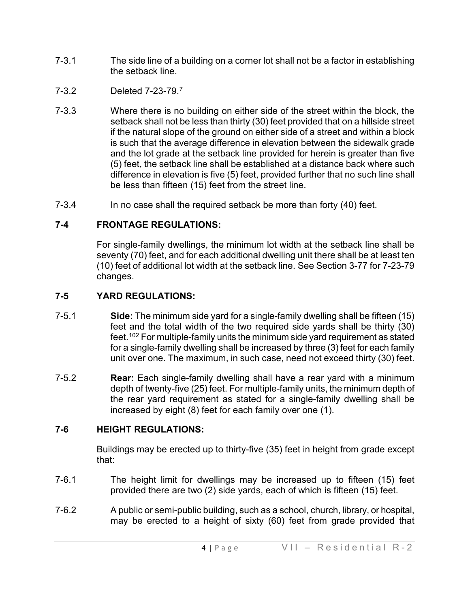- 7-3.1 The side line of a building on a corner lot shall not be a factor in establishing the setback line.
- 7-3.2 Deleted 7-23-79.[7](#page-6-18)
- 7-3.3 Where there is no building on either side of the street within the block, the setback shall not be less than thirty (30) feet provided that on a hillside street if the natural slope of the ground on either side of a street and within a block is such that the average difference in elevation between the sidewalk grade and the lot grade at the setback line provided for herein is greater than five (5) feet, the setback line shall be established at a distance back where such difference in elevation is five (5) feet, provided further that no such line shall be less than fifteen (15) feet from the street line.
- 7-3.4 In no case shall the required setback be more than forty (40) feet.

# **7-4 FRONTAGE REGULATIONS:**

For single-family dwellings, the minimum lot width at the setback line shall be seventy (70) feet, and for each additional dwelling unit there shall be at least ten (10) feet of additional lot width at the setback line. See Section 3-77 for 7-23-79 changes.

# **7-5 YARD REGULATIONS:**

- 7-5.1 **Side:** The minimum side yard for a single-family dwelling shall be fifteen (15) feet and the total width of the two required side yards shall be thirty (30) feet.[102](#page-6-19) For multiple-family units the minimum side yard requirement as stated for a single-family dwelling shall be increased by three (3) feet for each family unit over one. The maximum, in such case, need not exceed thirty (30) feet.
- 7-5.2 **Rear:** Each single-family dwelling shall have a rear yard with a minimum depth of twenty-five (25) feet. For multiple-family units, the minimum depth of the rear yard requirement as stated for a single-family dwelling shall be increased by eight (8) feet for each family over one (1).

# **7-6 HEIGHT REGULATIONS:**

Buildings may be erected up to thirty-five (35) feet in height from grade except that:

- 7-6.1 The height limit for dwellings may be increased up to fifteen (15) feet provided there are two (2) side yards, each of which is fifteen (15) feet.
- 7-6.2 A public or semi-public building, such as a school, church, library, or hospital, may be erected to a height of sixty (60) feet from grade provided that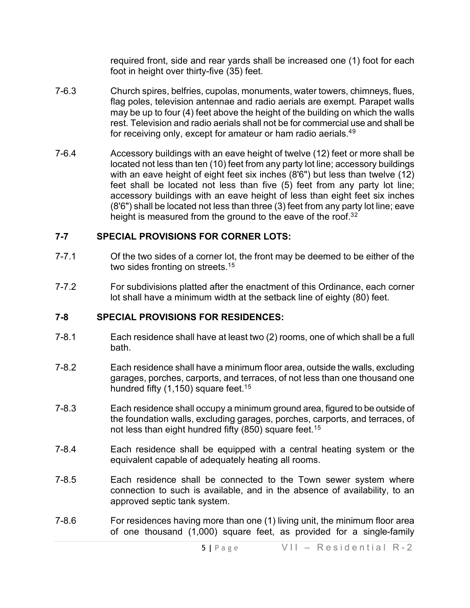required front, side and rear yards shall be increased one (1) foot for each foot in height over thirty-five (35) feet.

- 7-6.3 Church spires, belfries, cupolas, monuments, water towers, chimneys, flues, flag poles, television antennae and radio aerials are exempt. Parapet walls may be up to four (4) feet above the height of the building on which the walls rest. Television and radio aerials shall not be for commercial use and shall be for receiving only, except for amateur or ham radio aerials.<sup>4[9](#page-6-20)</sup>
- 7-6.4 Accessory buildings with an eave height of twelve (12) feet or more shall be located not less than ten (10) feet from any party lot line; accessory buildings with an eave height of eight feet six inches (8'6") but less than twelve (12) feet shall be located not less than five (5) feet from any party lot line; accessory buildings with an eave height of less than eight feet six inches (8'6") shall be located not less than three (3) feet from any party lot line; eave height is measured from the ground to the eave of the roof.<sup>3[2](#page-6-21)</sup>

### **7-7 SPECIAL PROVISIONS FOR CORNER LOTS:**

- 7-7.1 Of the two sides of a corner lot, the front may be deemed to be either of the two sides fronting on streets.<sup>1[5](#page-6-22)</sup>
- 7-7.2 For subdivisions platted after the enactment of this Ordinance, each corner lot shall have a minimum width at the setback line of eighty (80) feet.

## **7-8 SPECIAL PROVISIONS FOR RESIDENCES:**

- 7-8.1 Each residence shall have at least two (2) rooms, one of which shall be a full bath.
- 7-8.2 Each residence shall have a minimum floor area, outside the walls, excluding garages, porches, carports, and terraces, of not less than one thousand one hundred fifty  $(1,150)$  $(1,150)$  $(1,150)$  square feet.<sup>15</sup>
- 7-8.3 Each residence shall occupy a minimum ground area, figured to be outside of the foundation walls, excluding garages, porches, carports, and terraces, of not less than eight hundred fifty (8[5](#page-6-24)0) square feet.<sup>15</sup>
- 7-8.4 Each residence shall be equipped with a central heating system or the equivalent capable of adequately heating all rooms.
- 7-8.5 Each residence shall be connected to the Town sewer system where connection to such is available, and in the absence of availability, to an approved septic tank system.
- 7-8.6 For residences having more than one (1) living unit, the minimum floor area of one thousand (1,000) square feet, as provided for a single-family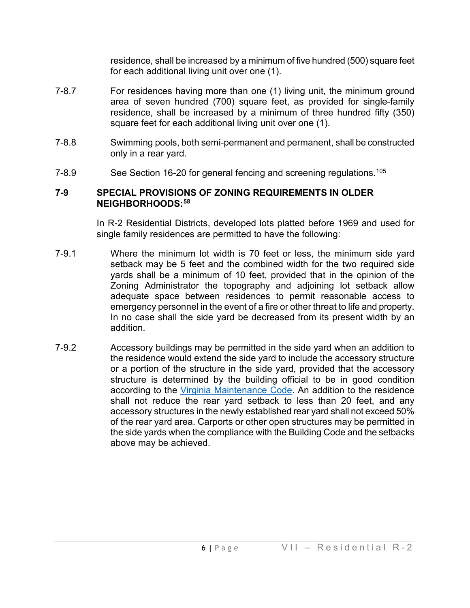residence, shall be increased by a minimum of five hundred (500) square feet for each additional living unit over one (1).

- 7-8.7 For residences having more than one (1) living unit, the minimum ground area of seven hundred (700) square feet, as provided for single-family residence, shall be increased by a minimum of three hundred fifty (350) square feet for each additional living unit over one (1).
- 7-8.8 Swimming pools, both semi-permanent and permanent, shall be constructed only in a rear yard.
- 7-8.9 See Section 16-20 for general fencing and screening regulations.<sup>[105](#page-6-25)</sup>

#### **7-9 SPECIAL PROVISIONS OF ZONING REQUIREMENTS IN OLDER NEIGHBORHOODS:[58](#page-6-26)**

In R-2 Residential Districts, developed lots platted before 1969 and used for single family residences are permitted to have the following:

- 7-9.1 Where the minimum lot width is 70 feet or less, the minimum side yard setback may be 5 feet and the combined width for the two required side yards shall be a minimum of 10 feet, provided that in the opinion of the Zoning Administrator the topography and adjoining lot setback allow adequate space between residences to permit reasonable access to emergency personnel in the event of a fire or other threat to life and property. In no case shall the side yard be decreased from its present width by an addition.
- 7-9.2 Accessory buildings may be permitted in the side yard when an addition to the residence would extend the side yard to include the accessory structure or a portion of the structure in the side yard, provided that the accessory structure is determined by the building official to be in good condition according to the [Virginia Maintenance Code.](https://law.lis.virginia.gov/admincodefull/title13/agency5/chapter63/partIII/) An addition to the residence shall not reduce the rear yard setback to less than 20 feet, and any accessory structures in the newly established rear yard shall not exceed 50% of the rear yard area. Carports or other open structures may be permitted in the side yards when the compliance with the Building Code and the setbacks above may be achieved.